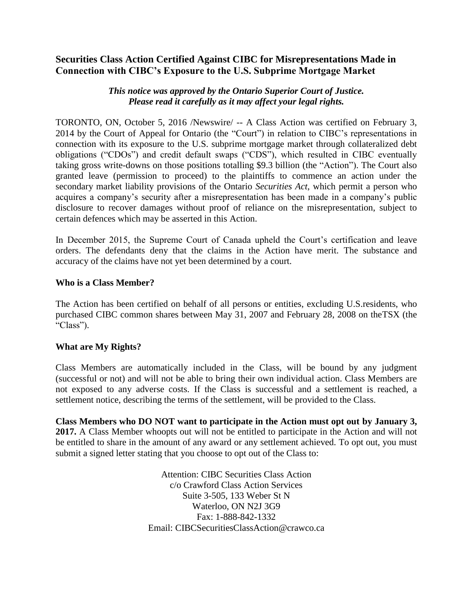# **Securities Class Action Certified Against CIBC for Misrepresentations Made in Connection with CIBC's Exposure to the U.S. Subprime Mortgage Market**

#### *This notice was approved by the Ontario Superior Court of Justice. Please read it carefully as it may affect your legal rights.*

TORONTO, ON, October 5, 2016 /Newswire/ -- A Class Action was certified on February 3, 2014 by the Court of Appeal for Ontario (the "Court") in relation to CIBC's representations in connection with its exposure to the U.S. subprime mortgage market through collateralized debt obligations ("CDOs") and credit default swaps ("CDS"), which resulted in CIBC eventually taking gross write-downs on those positions totalling \$9.3 billion (the "Action"). The Court also granted leave (permission to proceed) to the plaintiffs to commence an action under the secondary market liability provisions of the Ontario *Securities Act*, which permit a person who acquires a company's security after a misrepresentation has been made in a company's public disclosure to recover damages without proof of reliance on the misrepresentation, subject to certain defences which may be asserted in this Action.

In December 2015, the Supreme Court of Canada upheld the Court's certification and leave orders. The defendants deny that the claims in the Action have merit. The substance and accuracy of the claims have not yet been determined by a court.

#### **Who is a Class Member?**

The Action has been certified on behalf of all persons or entities, excluding U.S.residents, who purchased CIBC common shares between May 31, 2007 and February 28, 2008 on theTSX (the "Class").

## **What are My Rights?**

Class Members are automatically included in the Class, will be bound by any judgment (successful or not) and will not be able to bring their own individual action. Class Members are not exposed to any adverse costs. If the Class is successful and a settlement is reached, a settlement notice, describing the terms of the settlement, will be provided to the Class.

**Class Members who DO NOT want to participate in the Action must opt out by January 3, 2017.** A Class Member whoopts out will not be entitled to participate in the Action and will not be entitled to share in the amount of any award or any settlement achieved. To opt out, you must submit a signed letter stating that you choose to opt out of the Class to:

> Attention: CIBC Securities Class Action c/o Crawford Class Action Services Suite 3-505, 133 Weber St N Waterloo, ON N2J 3G9 Fax: 1-888-842-1332 Email: CIBCSecuritiesClassAction@crawco.ca